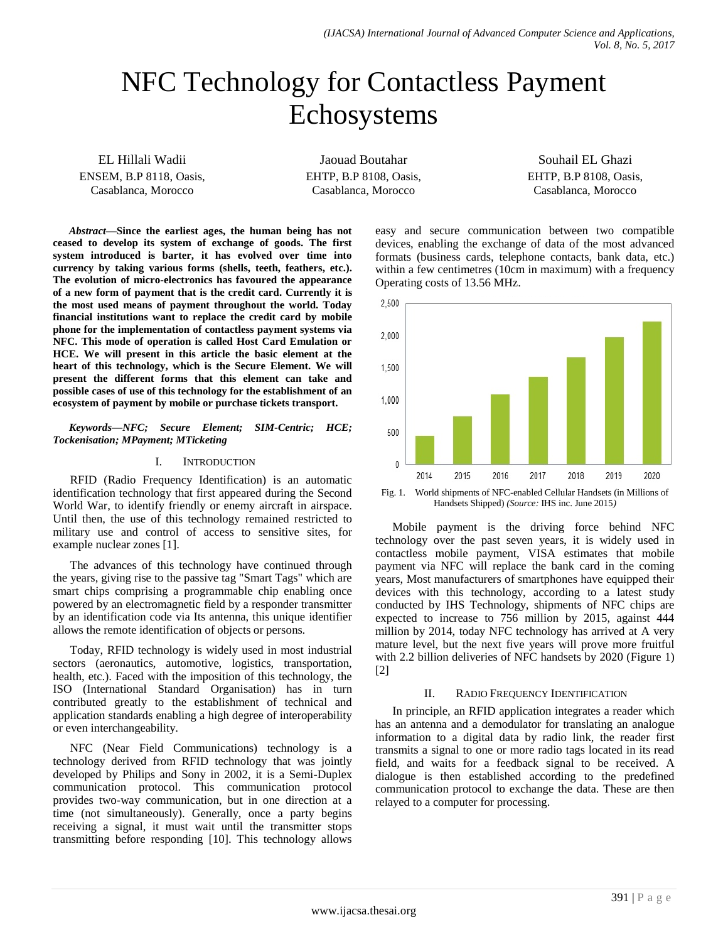# NFC Technology for Contactless Payment Echosystems

EL Hillali Wadii ENSEM, B.P 8118, Oasis, Casablanca, Morocco

Jaouad Boutahar EHTP, B.P 8108, Oasis, Casablanca, Morocco

Souhail EL Ghazi EHTP, B.P 8108, Oasis, Casablanca, Morocco

*Abstract***—Since the earliest ages, the human being has not ceased to develop its system of exchange of goods. The first system introduced is barter, it has evolved over time into currency by taking various forms (shells, teeth, feathers, etc.). The evolution of micro-electronics has favoured the appearance of a new form of payment that is the credit card. Currently it is the most used means of payment throughout the world. Today financial institutions want to replace the credit card by mobile phone for the implementation of contactless payment systems via NFC. This mode of operation is called Host Card Emulation or HCE. We will present in this article the basic element at the heart of this technology, which is the Secure Element. We will present the different forms that this element can take and possible cases of use of this technology for the establishment of an ecosystem of payment by mobile or purchase tickets transport.**

*Keywords—NFC; Secure Element; SIM-Centric; HCE; Tockenisation; MPayment; MTicketing*

#### I. INTRODUCTION

RFID (Radio Frequency Identification) is an automatic identification technology that first appeared during the Second World War, to identify friendly or enemy aircraft in airspace. Until then, the use of this technology remained restricted to military use and control of access to sensitive sites, for example nuclear zones [1].

The advances of this technology have continued through the years, giving rise to the passive tag "Smart Tags" which are smart chips comprising a programmable chip enabling once powered by an electromagnetic field by a responder transmitter by an identification code via Its antenna, this unique identifier allows the remote identification of objects or persons.

Today, RFID technology is widely used in most industrial sectors (aeronautics, automotive, logistics, transportation, health, etc.). Faced with the imposition of this technology, the ISO (International Standard Organisation) has in turn contributed greatly to the establishment of technical and application standards enabling a high degree of interoperability or even interchangeability.

NFC (Near Field Communications) technology is a technology derived from RFID technology that was jointly developed by Philips and Sony in 2002, it is a Semi-Duplex communication protocol. This communication protocol provides two-way communication, but in one direction at a time (not simultaneously). Generally, once a party begins receiving a signal, it must wait until the transmitter stops transmitting before responding [10]. This technology allows easy and secure communication between two compatible devices, enabling the exchange of data of the most advanced formats (business cards, telephone contacts, bank data, etc.) within a few centimetres (10cm in maximum) with a frequency Operating costs of 13.56 MHz.



Fig. 1. World shipments of NFC-enabled Cellular Handsets (in Millions of Handsets Shipped) *(Source:* IHS inc. June 2015*)*

Mobile payment is the driving force behind NFC technology over the past seven years, it is widely used in contactless mobile payment, VISA estimates that mobile payment via NFC will replace the bank card in the coming years, Most manufacturers of smartphones have equipped their devices with this technology, according to a latest study conducted by IHS Technology, shipments of NFC chips are expected to increase to 756 million by 2015, against 444 million by 2014, today NFC technology has arrived at A very mature level, but the next five years will prove more fruitful with 2.2 billion deliveries of NFC handsets by 2020 (Figure 1) [2]

## II. RADIO FREQUENCY IDENTIFICATION

In principle, an RFID application integrates a reader which has an antenna and a demodulator for translating an analogue information to a digital data by radio link, the reader first transmits a signal to one or more radio tags located in its read field, and waits for a feedback signal to be received. A dialogue is then established according to the predefined communication protocol to exchange the data. These are then relayed to a computer for processing.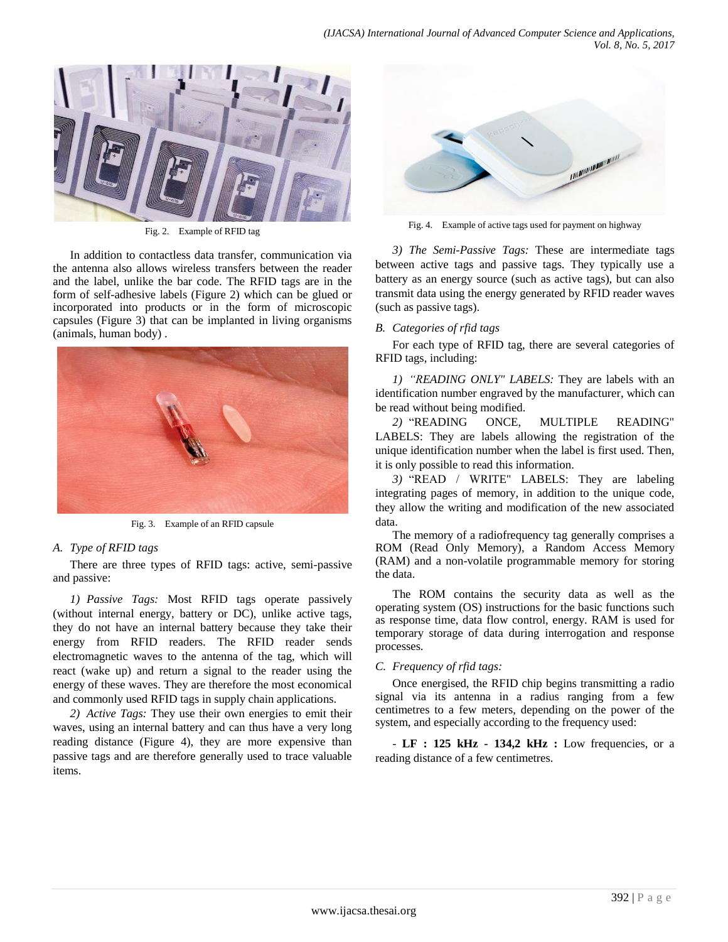

Fig. 2. Example of RFID tag

In addition to contactless data transfer, communication via the antenna also allows wireless transfers between the reader and the label, unlike the bar code. The RFID tags are in the form of self-adhesive labels (Figure 2) which can be glued or incorporated into products or in the form of microscopic capsules (Figure 3) that can be implanted in living organisms (animals, human body) .



Fig. 3. Example of an RFID capsule

## *A. Type of RFID tags*

There are three types of RFID tags: active, semi-passive and passive:

*1) Passive Tags:* Most RFID tags operate passively (without internal energy, battery or DC), unlike active tags, they do not have an internal battery because they take their energy from RFID readers. The RFID reader sends electromagnetic waves to the antenna of the tag, which will react (wake up) and return a signal to the reader using the energy of these waves. They are therefore the most economical and commonly used RFID tags in supply chain applications.

*2) Active Tags:* They use their own energies to emit their waves, using an internal battery and can thus have a very long reading distance (Figure 4), they are more expensive than passive tags and are therefore generally used to trace valuable items.



Fig. 4. Example of active tags used for payment on highway

*3) The Semi-Passive Tags:* These are intermediate tags between active tags and passive tags. They typically use a battery as an energy source (such as active tags), but can also transmit data using the energy generated by RFID reader waves (such as passive tags).

## *B. Categories of rfid tags*

For each type of RFID tag, there are several categories of RFID tags, including:

*1) "READING ONLY" LABELS:* They are labels with an identification number engraved by the manufacturer, which can be read without being modified.

*2)* "READING ONCE, MULTIPLE READING" LABELS: They are labels allowing the registration of the unique identification number when the label is first used. Then, it is only possible to read this information.

*3)* "READ / WRITE" LABELS: They are labeling integrating pages of memory, in addition to the unique code, they allow the writing and modification of the new associated data.

The memory of a radiofrequency tag generally comprises a ROM (Read Only Memory), a Random Access Memory (RAM) and a non-volatile programmable memory for storing the data.

The ROM contains the security data as well as the operating system (OS) instructions for the basic functions such as response time, data flow control, energy. RAM is used for temporary storage of data during interrogation and response processes.

## *C. Frequency of rfid tags:*

Once energised, the RFID chip begins transmitting a radio signal via its antenna in a radius ranging from a few centimetres to a few meters, depending on the power of the system, and especially according to the frequency used:

- **LF : 125 kHz - 134,2 kHz :** Low frequencies, or a reading distance of a few centimetres.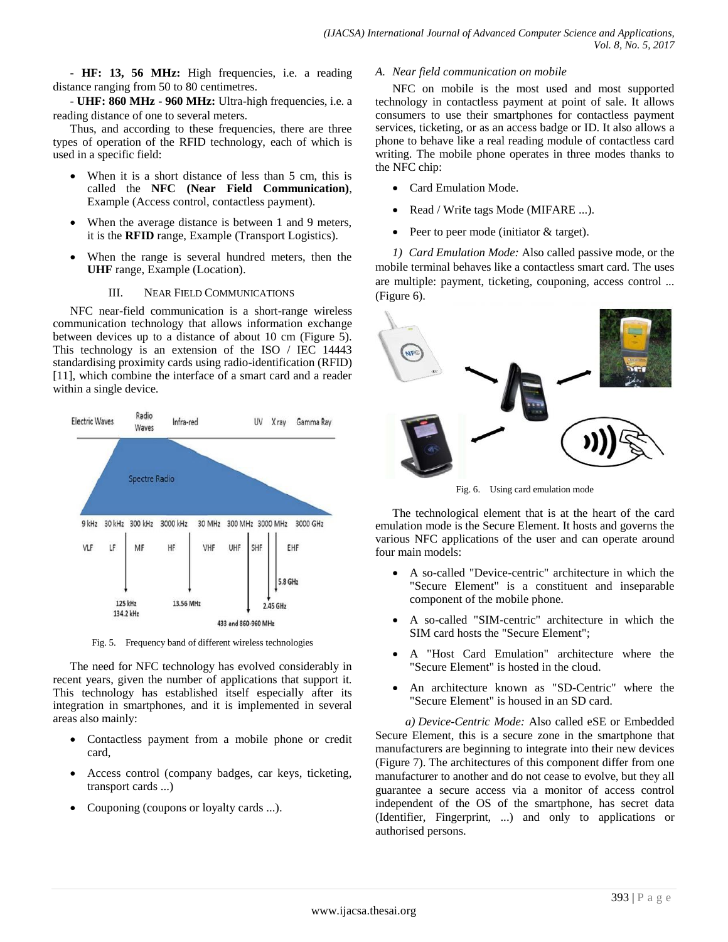**- HF: 13, 56 MHz:** High frequencies, i.e. a reading distance ranging from 50 to 80 centimetres.

- **UHF: 860 MHz - 960 MHz:** Ultra-high frequencies, i.e. a reading distance of one to several meters.

Thus, and according to these frequencies, there are three types of operation of the RFID technology, each of which is used in a specific field:

- When it is a short distance of less than 5 cm, this is called the **NFC (Near Field Communication)**, Example (Access control, contactless payment).
- When the average distance is between 1 and 9 meters, it is the **RFID** range, Example (Transport Logistics).
- When the range is several hundred meters, then the **UHF** range, Example (Location).

## III. NEAR FIELD COMMUNICATIONS

NFC near-field communication is a short-range wireless communication technology that allows information exchange between devices up to a distance of about 10 cm (Figure 5). This technology is an extension of the ISO / IEC 14443 standardising proximity cards using radio-identification (RFID) [11], which combine the interface of a smart card and a reader within a single device.



Fig. 5. Frequency band of different wireless technologies

The need for NFC technology has evolved considerably in recent years, given the number of applications that support it. This technology has established itself especially after its integration in smartphones, and it is implemented in several areas also mainly:

- Contactless payment from a mobile phone or credit card,
- Access control (company badges, car keys, ticketing, transport cards ...)
- Couponing (coupons or loyalty cards ...).

## *A. Near field communication on mobile*

NFC on mobile is the most used and most supported technology in contactless payment at point of sale. It allows consumers to use their smartphones for contactless payment services, ticketing, or as an access badge or ID. It also allows a phone to behave like a real reading module of contactless card writing. The mobile phone operates in three modes thanks to the NFC chip:

- Card Emulation Mode.
- Read / Write tags Mode (MIFARE ...).
- Peer to peer mode (initiator & target).

*1) Card Emulation Mode:* Also called passive mode, or the mobile terminal behaves like a contactless smart card. The uses are multiple: payment, ticketing, couponing, access control ... (Figure 6).



Fig. 6. Using card emulation mode

The technological element that is at the heart of the card emulation mode is the Secure Element. It hosts and governs the various NFC applications of the user and can operate around four main models:

- A so-called "Device-centric" architecture in which the "Secure Element" is a constituent and inseparable component of the mobile phone.
- A so-called "SIM-centric" architecture in which the SIM card hosts the "Secure Element";
- A "Host Card Emulation" architecture where the "Secure Element" is hosted in the cloud.
- An architecture known as "SD-Centric" where the "Secure Element" is housed in an SD card.

*a) Device-Centric Mode:* Also called eSE or Embedded Secure Element, this is a secure zone in the smartphone that manufacturers are beginning to integrate into their new devices (Figure 7). The architectures of this component differ from one manufacturer to another and do not cease to evolve, but they all guarantee a secure access via a monitor of access control independent of the OS of the smartphone, has secret data (Identifier, Fingerprint, ...) and only to applications or authorised persons.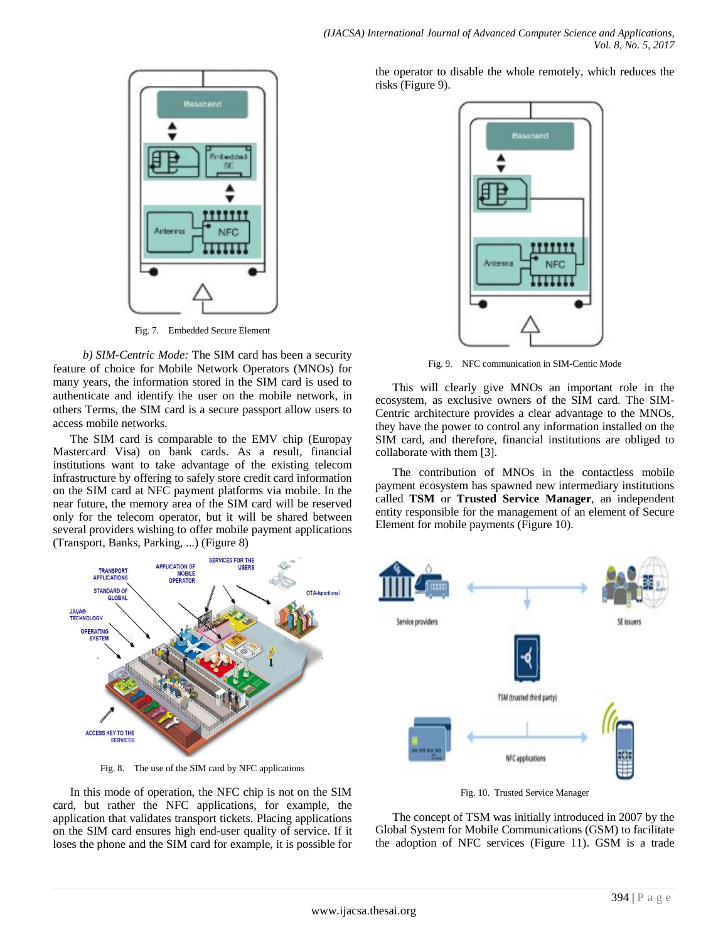

Fig. 7. Embedded Secure Element

*b) SIM-Centric Mode:* The SIM card has been a security feature of choice for Mobile Network Operators (MNOs) for many years, the information stored in the SIM card is used to authenticate and identify the user on the mobile network, in others Terms, the SIM card is a secure passport allow users to access mobile networks.

The SIM card is comparable to the EMV chip (Europay Mastercard Visa) on bank cards. As a result, financial institutions want to take advantage of the existing telecom infrastructure by offering to safely store credit card information on the SIM card at NFC payment platforms via mobile. In the near future, the memory area of the SIM card will be reserved only for the telecom operator, but it will be shared between several providers wishing to offer mobile payment applications (Transport, Banks, Parking, ...) (Figure 8)



Fig. 8. The use of the SIM card by NFC applications

In this mode of operation, the NFC chip is not on the SIM card, but rather the NFC applications, for example, the application that validates transport tickets. Placing applications on the SIM card ensures high end-user quality of service. If it loses the phone and the SIM card for example, it is possible for the operator to disable the whole remotely, which reduces the risks (Figure 9).



Fig. 9. NFC communication in SIM-Centic Mode

This will clearly give MNOs an important role in the ecosystem, as exclusive owners of the SIM card. The SIM-Centric architecture provides a clear advantage to the MNOs, they have the power to control any information installed on the SIM card, and therefore, financial institutions are obliged to collaborate with them [3].

The contribution of MNOs in the contactless mobile payment ecosystem has spawned new intermediary institutions called **TSM** or **Trusted Service Manager**, an independent entity responsible for the management of an element of Secure Element for mobile payments (Figure 10).



Fig. 10. Trusted Service Manager

The concept of TSM was initially introduced in 2007 by the Global System for Mobile Communications (GSM) to facilitate the adoption of NFC services (Figure 11). GSM is a trade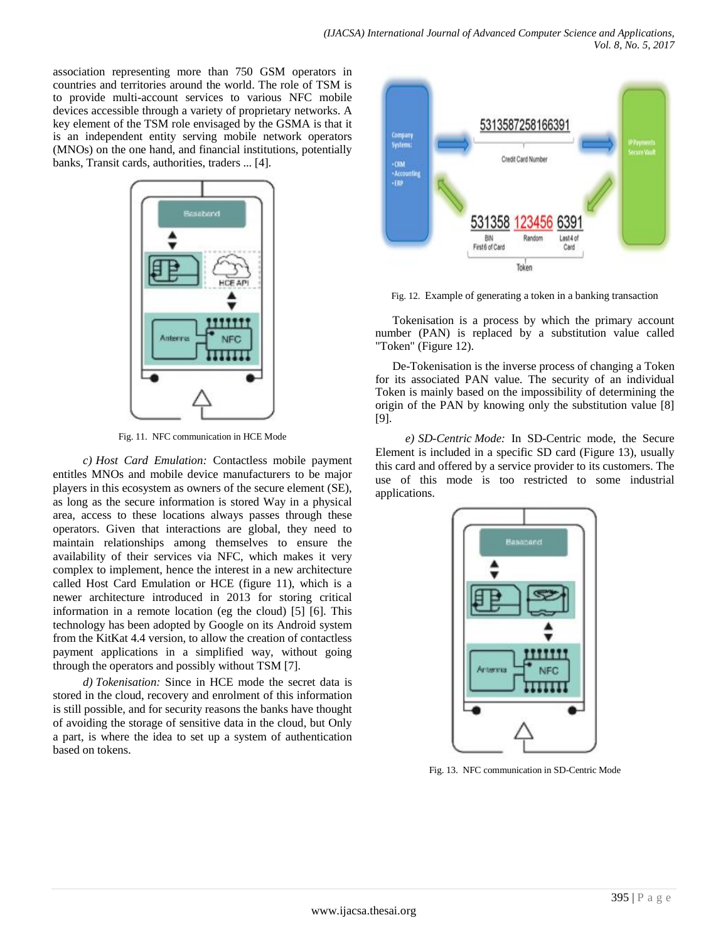association representing more than 750 GSM operators in countries and territories around the world. The role of TSM is to provide multi-account services to various NFC mobile devices accessible through a variety of proprietary networks. A key element of the TSM role envisaged by the GSMA is that it is an independent entity serving mobile network operators (MNOs) on the one hand, and financial institutions, potentially banks, Transit cards, authorities, traders ... [4].



Fig. 11. NFC communication in HCE Mode

*c) Host Card Emulation:* Contactless mobile payment entitles MNOs and mobile device manufacturers to be major players in this ecosystem as owners of the secure element (SE), as long as the secure information is stored Way in a physical area, access to these locations always passes through these operators. Given that interactions are global, they need to maintain relationships among themselves to ensure the availability of their services via NFC, which makes it very complex to implement, hence the interest in a new architecture called Host Card Emulation or HCE (figure 11), which is a newer architecture introduced in 2013 for storing critical information in a remote location (eg the cloud) [5] [6]. This technology has been adopted by Google on its Android system from the KitKat 4.4 version, to allow the creation of contactless payment applications in a simplified way, without going through the operators and possibly without TSM [7].

*d) Tokenisation:* Since in HCE mode the secret data is stored in the cloud, recovery and enrolment of this information is still possible, and for security reasons the banks have thought of avoiding the storage of sensitive data in the cloud, but Only a part, is where the idea to set up a system of authentication based on tokens.



Fig. 12. Example of generating a token in a banking transaction

Tokenisation is a process by which the primary account number (PAN) is replaced by a substitution value called "Token" (Figure 12).

De-Tokenisation is the inverse process of changing a Token for its associated PAN value. The security of an individual Token is mainly based on the impossibility of determining the origin of the PAN by knowing only the substitution value [8] [9].

*e) SD-Centric Mode:* In SD-Centric mode, the Secure Element is included in a specific SD card (Figure 13), usually this card and offered by a service provider to its customers. The use of this mode is too restricted to some industrial applications.



Fig. 13. NFC communication in SD-Centric Mode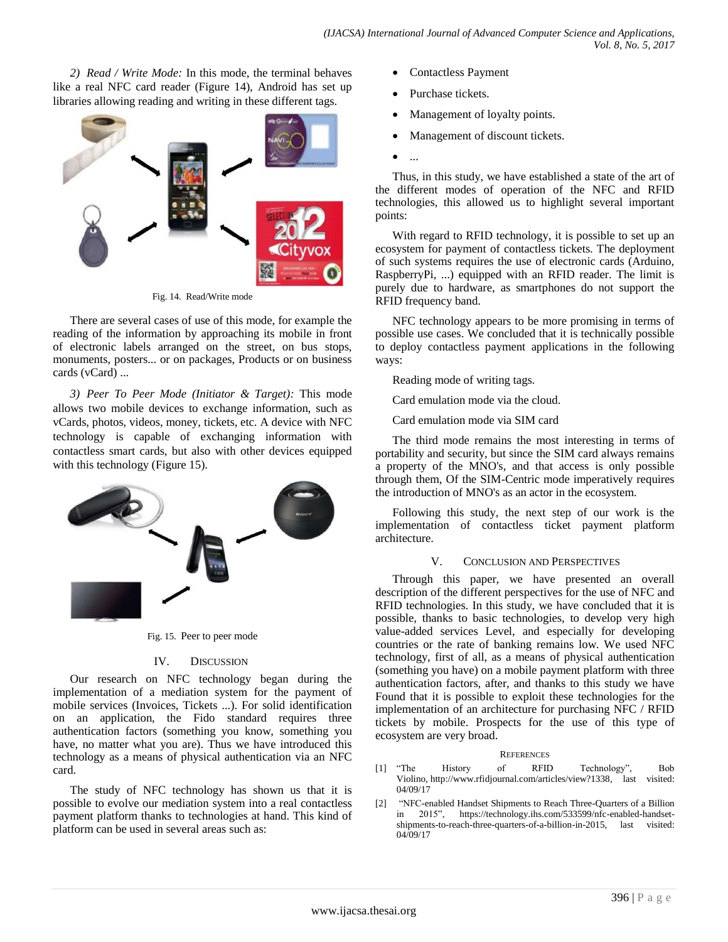*2) Read / Write Mode:* In this mode, the terminal behaves like a real NFC card reader (Figure 14), Android has set up libraries allowing reading and writing in these different tags.



Fig. 14. Read/Write mode

There are several cases of use of this mode, for example the reading of the information by approaching its mobile in front of electronic labels arranged on the street, on bus stops, monuments, posters... or on packages, Products or on business cards (vCard) ...

*3) Peer To Peer Mode (Initiator & Target):* This mode allows two mobile devices to exchange information, such as vCards, photos, videos, money, tickets, etc. A device with NFC technology is capable of exchanging information with contactless smart cards, but also with other devices equipped with this technology (Figure 15).



Fig. 15. Peer to peer mode

## IV. DISCUSSION

Our research on NFC technology began during the implementation of a mediation system for the payment of mobile services (Invoices, Tickets ...). For solid identification on an application, the Fido standard requires three authentication factors (something you know, something you have, no matter what you are). Thus we have introduced this technology as a means of physical authentication via an NFC card.

The study of NFC technology has shown us that it is possible to evolve our mediation system into a real contactless payment platform thanks to technologies at hand. This kind of platform can be used in several areas such as:

- Contactless Payment
- Purchase tickets.
- Management of loyalty points.
- Management of discount tickets.
- $\bullet$  ...

Thus, in this study, we have established a state of the art of the different modes of operation of the NFC and RFID technologies, this allowed us to highlight several important points:

With regard to RFID technology, it is possible to set up an ecosystem for payment of contactless tickets. The deployment of such systems requires the use of electronic cards (Arduino, RaspberryPi, ...) equipped with an RFID reader. The limit is purely due to hardware, as smartphones do not support the RFID frequency band.

NFC technology appears to be more promising in terms of possible use cases. We concluded that it is technically possible to deploy contactless payment applications in the following ways:

Reading mode of writing tags.

Card emulation mode via the cloud.

Card emulation mode via SIM card

The third mode remains the most interesting in terms of portability and security, but since the SIM card always remains a property of the MNO's, and that access is only possible through them, Of the SIM-Centric mode imperatively requires the introduction of MNO's as an actor in the ecosystem.

Following this study, the next step of our work is the implementation of contactless ticket payment platform architecture.

## V. CONCLUSION AND PERSPECTIVES

Through this paper, we have presented an overall description of the different perspectives for the use of NFC and RFID technologies. In this study, we have concluded that it is possible, thanks to basic technologies, to develop very high value-added services Level, and especially for developing countries or the rate of banking remains low. We used NFC technology, first of all, as a means of physical authentication (something you have) on a mobile payment platform with three authentication factors, after, and thanks to this study we have Found that it is possible to exploit these technologies for the implementation of an architecture for purchasing NFC / RFID tickets by mobile. Prospects for the use of this type of ecosystem are very broad.

## **REFERENCES**

- [1] "The History of RFID Technology", Bob Violino, [http://www.rfidjournal.com/articles/view?1338,](http://www.rfidjournal.com/articles/view?1338) last visited: 04/09/17
- [2] "NFC-enabled Handset Shipments to Reach Three-Quarters of a Billion in 2015", [https://technology.ihs.com/533599/nfc-enabled-handset](https://technology.ihs.com/533599/nfc-enabled-handset-shipments-to-reach-three-quarters-of-a-billion-in-2015)[shipments-to-reach-three-quarters-of-a-billion-in-2015,](https://technology.ihs.com/533599/nfc-enabled-handset-shipments-to-reach-three-quarters-of-a-billion-in-2015) last visited: 04/09/17